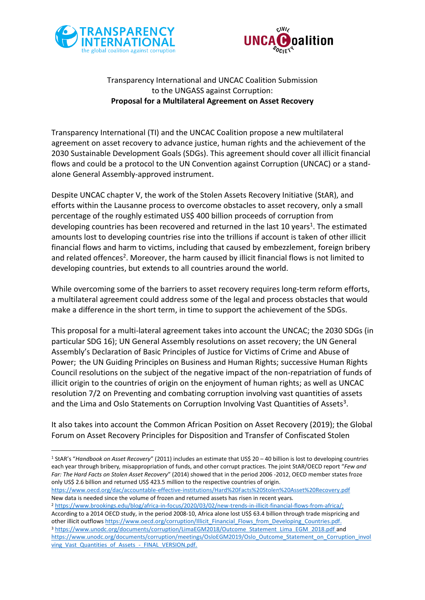

-



## Transparency International and UNCAC Coalition Submission to the UNGASS against Corruption: **Proposal for a Multilateral Agreement on Asset Recovery**

Transparency International (TI) and the UNCAC Coalition propose a new multilateral agreement on asset recovery to advance justice, human rights and the achievement of the 2030 Sustainable Development Goals (SDGs). This agreement should cover all illicit financial flows and could be a protocol to the UN Convention against Corruption (UNCAC) or a standalone General Assembly-approved instrument.

Despite UNCAC chapter V, the work of the Stolen Assets Recovery Initiative (StAR), and efforts within the Lausanne process to overcome obstacles to asset recovery, only a small percentage of the roughly estimated US\$ 400 billion proceeds of corruption from developing countries has been recovered and returned in the last 10 years<sup>1</sup>. The estimated amounts lost to developing countries rise into the trillions if account is taken of other illicit financial flows and harm to victims, including that caused by embezzlement, foreign bribery and related offences<sup>2</sup>. Moreover, the harm caused by illicit financial flows is not limited to developing countries, but extends to all countries around the world.

While overcoming some of the barriers to asset recovery requires long-term reform efforts, a multilateral agreement could address some of the legal and process obstacles that would make a difference in the short term, in time to support the achievement of the SDGs.

This proposal for a multi-lateral agreement takes into account the UNCAC; the 2030 SDGs (in particular SDG 16); UN General Assembly resolutions on asset recovery; the UN General Assembly's Declaration of Basic Principles of Justice for Victims of Crime and Abuse of Power; the UN Guiding Principles on Business and Human Rights; successive Human Rights Council resolutions on the subject of the negative impact of the non-repatriation of funds of illicit origin to the countries of origin on the enjoyment of human rights; as well as UNCAC resolution 7/2 on Preventing and combating corruption involving vast quantities of assets and the Lima and Oslo Statements on Corruption Involving Vast Quantities of Assets<sup>3</sup>.

It also takes into account the Common African Position on Asset Recovery (2019); the Global Forum on Asset Recovery Principles for Disposition and Transfer of Confiscated Stolen

<https://www.oecd.org/dac/accountable-effective-institutions/Hard%20Facts%20Stolen%20Asset%20Recovery.pdf> New data is needed since the volume of frozen and returned assets has risen in recent years.

<sup>2</sup> [https://www.brookings.edu/blog/africa-in-focus/2020/03/02/new-trends-in-illicit-financial-flows-from-africa/;](https://www.brookings.edu/blog/africa-in-focus/2020/03/02/new-trends-in-illicit-financial-flows-from-africa/) According to a 2014 OECD study, in the period 2008-10, Africa alone lost US\$ 63.4 billion through trade mispricing and other illicit outflows [https://www.oecd.org/corruption/Illicit\\_Financial\\_Flows\\_from\\_Developing\\_Countries.pdf.](https://www.oecd.org/corruption/Illicit_Financial_Flows_from_Developing_Countries.pdf) 3 [https://www.unodc.org/documents/corruption/LimaEGM2018/Outcome\\_Statement\\_Lima\\_EGM\\_2018.pdf](https://www.unodc.org/documents/corruption/LimaEGM2018/Outcome_Statement_Lima_EGM_2018.pdf) and https://www.unodc.org/documents/corruption/meetings/OsloEGM2019/Oslo\_Outcome\_Statement\_on\_Corruption\_invol ving Vast Quantities of Assets - FINAL VERSION.pdf.

<sup>1</sup> StAR's "*Handbook on Asset Recovery*" (2011) includes an estimate that US\$ 20 – 40 billion is lost to developing countries each year through bribery*,* misappropriation of funds, and other corrupt practices. The joint StAR/OECD report "*Few and Far: The Hard Facts on Stolen Asset Recovery*" (2014) showed that in the period 2006 -2012, OECD member states froze only US\$ 2.6 billion and returned US\$ 423.5 million to the respective countries of origin.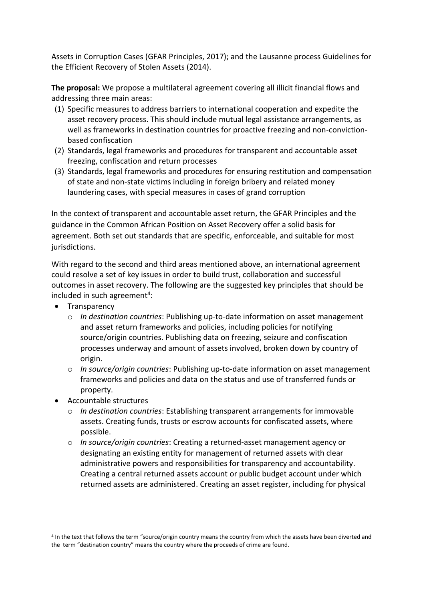Assets in Corruption Cases (GFAR Principles, 2017); and the Lausanne process Guidelines for the Efficient Recovery of Stolen Assets (2014).

**The proposal:** We propose a multilateral agreement covering all illicit financial flows and addressing three main areas:

- (1) Specific measures to address barriers to international cooperation and expedite the asset recovery process. This should include mutual legal assistance arrangements, as well as frameworks in destination countries for proactive freezing and non-convictionbased confiscation
- (2) Standards, legal frameworks and procedures for transparent and accountable asset freezing, confiscation and return processes
- (3) Standards, legal frameworks and procedures for ensuring restitution and compensation of state and non-state victims including in foreign bribery and related money laundering cases, with special measures in cases of grand corruption

In the context of transparent and accountable asset return, the GFAR Principles and the guidance in the Common African Position on Asset Recovery offer a solid basis for agreement. Both set out standards that are specific, enforceable, and suitable for most jurisdictions.

With regard to the second and third areas mentioned above, an international agreement could resolve a set of key issues in order to build trust, collaboration and successful outcomes in asset recovery. The following are the suggested key principles that should be included in such agreement<sup>4</sup>:

- Transparency
	- o *In destination countries*: Publishing up-to-date information on asset management and asset return frameworks and policies, including policies for notifying source/origin countries. Publishing data on freezing, seizure and confiscation processes underway and amount of assets involved, broken down by country of origin.
	- o *In source/origin countries*: Publishing up-to-date information on asset management frameworks and policies and data on the status and use of transferred funds or property.
- Accountable structures

-

- o *In destination countries*: Establishing transparent arrangements for immovable assets. Creating funds, trusts or escrow accounts for confiscated assets, where possible.
- o *In source/origin countries*: Creating a returned-asset management agency or designating an existing entity for management of returned assets with clear administrative powers and responsibilities for transparency and accountability. Creating a central returned assets account or public budget account under which returned assets are administered. Creating an asset register, including for physical

<sup>4</sup> In the text that follows the term "source/origin country means the country from which the assets have been diverted and the term "destination country" means the country where the proceeds of crime are found.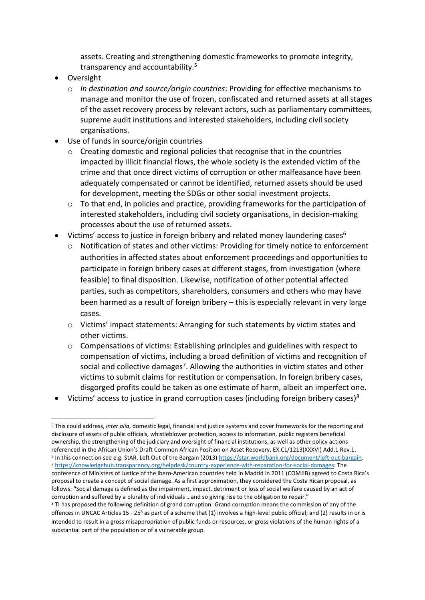assets. Creating and strengthening domestic frameworks to promote integrity, transparency and accountability.<sup>5</sup>

Oversight

-

- o *In destination and source/origin countries*: Providing for effective mechanisms to manage and monitor the use of frozen, confiscated and returned assets at all stages of the asset recovery process by relevant actors, such as parliamentary committees, supreme audit institutions and interested stakeholders, including civil society organisations.
- Use of funds in source/origin countries
	- o Creating domestic and regional policies that recognise that in the countries impacted by illicit financial flows, the whole society is the extended victim of the crime and that once direct victims of corruption or other malfeasance have been adequately compensated or cannot be identified, returned assets should be used for development, meeting the SDGs or other social investment projects.
	- $\circ$  To that end, in policies and practice, providing frameworks for the participation of interested stakeholders, including civil society organisations, in decision-making processes about the use of returned assets.
- Victims' access to justice in foreign bribery and related money laundering cases<sup>6</sup>
	- Notification of states and other victims: Providing for timely notice to enforcement authorities in affected states about enforcement proceedings and opportunities to participate in foreign bribery cases at different stages, from investigation (where feasible) to final disposition. Likewise, notification of other potential affected parties, such as competitors, shareholders, consumers and others who may have been harmed as a result of foreign bribery – this is especially relevant in very large cases.
	- o Victims' impact statements: Arranging for such statements by victim states and other victims.
	- $\circ$  Compensations of victims: Establishing principles and guidelines with respect to compensation of victims, including a broad definition of victims and recognition of social and collective damages<sup>7</sup>. Allowing the authorities in victim states and other victims to submit claims for restitution or compensation. In foreign bribery cases, disgorged profits could be taken as one estimate of harm, albeit an imperfect one.
- Victims' access to justice in grand corruption cases (including foreign bribery cases)<sup>8</sup>

<sup>5</sup> This could address, *inter alia*, domestic legal, financial and justice systems and cover frameworks for the reporting and disclosure of assets of public officials, whistleblower protection, access to information, public registers beneficial ownership, the strengthening of the judiciary and oversight of financial institutions, as well as other policy actions referenced in the African Union's Draft Common African Position on Asset Recovery, EX.CL/1213(XXXVI) Add.1 Rev.1. <sup>6</sup> In this connection see e.g. StAR, Left Out of the Bargain (2013[\) https://star.worldbank.org/document/left-out-bargain.](https://star.worldbank.org/document/left-out-bargain) <sup>7</sup> [https://knowledgehub.transparency.org/helpdesk/country-experience-with-reparation-for-social-damages:](https://knowledgehub.transparency.org/helpdesk/country-experience-with-reparation-for-social-damages) The conference of Ministers of Justice of the Ibero‐American countries held in Madrid in 2011 (COMJIB) agreed to Costa Rica's proposal to create a concept of social damage. As a first approximation, they considered the Costa Rican proposal, as follows: **"**Social damage is defined as the impairment, impact, detriment or loss of social welfare caused by an act of corruption and suffered by a plurality of individuals …and so giving rise to the obligation to repair."

<sup>&</sup>lt;sup>8</sup> TI has proposed the following definition of grand corruption: Grand corruption means the commission of any of the offences in UNCAC Articles 15 - 25<sup>8</sup> as part of a scheme that (1) involves a high-level public official; and (2) results in or is intended to result in a gross misappropriation of public funds or resources, or gross violations of the human rights of a substantial part of the population or of a vulnerable group.